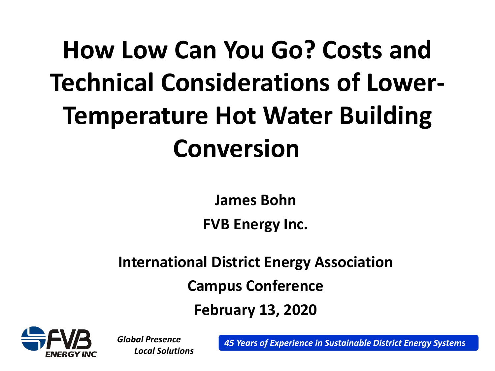# **How Low Can You Go? Costs and Technical Considerations of Lower-Temperature Hot Water Building Conversion**

**James Bohn**

**FVB Energy Inc.**

**International District Energy Association**

**Campus Conference** 

**February 13, 2020**



*Global Presence*

*Local Solutions 45 Years of Experience in Sustainable District Energy Systems*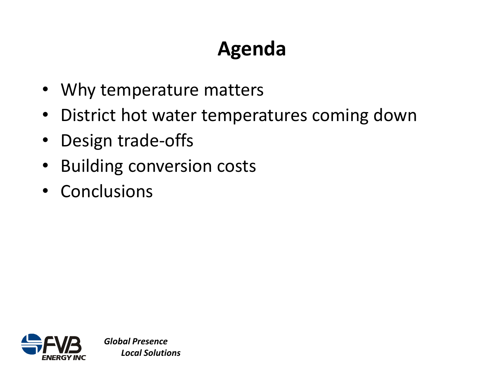# **Agenda**

- Why temperature matters
- District hot water temperatures coming down
- Design trade-offs
- Building conversion costs
- Conclusions

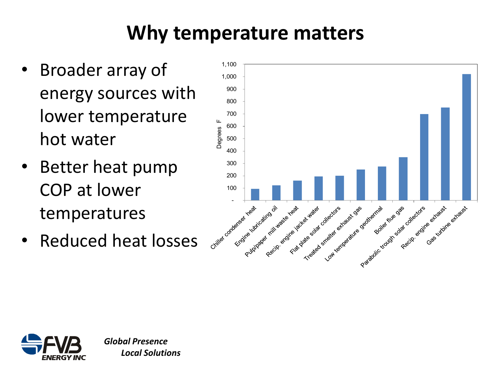# **Why temperature matters**

- Broader array of energy sources with lower temperature hot water
- Better heat pump COP at lower temperatures
- Reduced heat losses



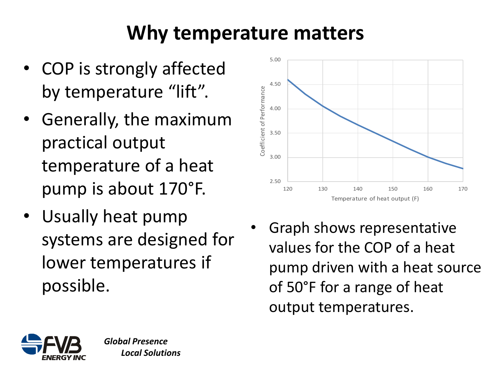## **Why temperature matters**

- COP is strongly affected by temperature "lift".
- Generally, the maximum practical output temperature of a heat pump is about 170°F.
- Usually heat pump systems are designed for lower temperatures if possible.



• Graph shows representative values for the COP of a heat pump driven with a heat source of 50°F for a range of heat output temperatures.

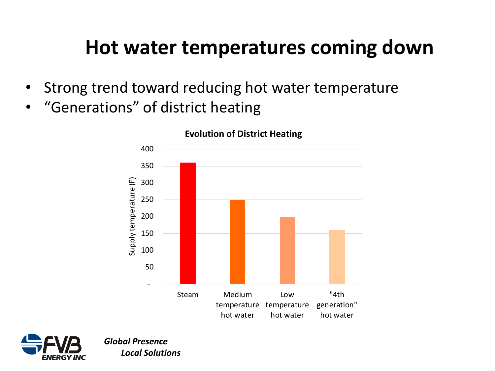#### **Hot water temperatures coming down**

- Strong trend toward reducing hot water temperature
- "Generations" of district heating



#### **Evolution of District Heating**

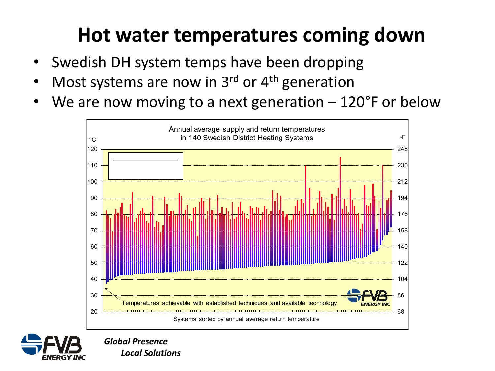### **Hot water temperatures coming down**

- Swedish DH system temps have been dropping
- Most systems are now in 3<sup>rd</sup> or 4<sup>th</sup> generation
- We are now moving to a next generation  $-120^{\circ}$ F or below



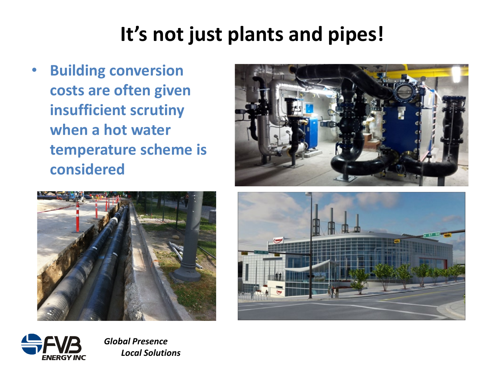### **It's not just plants and pipes!**

• **Building conversion costs are often given insufficient scrutiny when a hot water temperature scheme is considered**







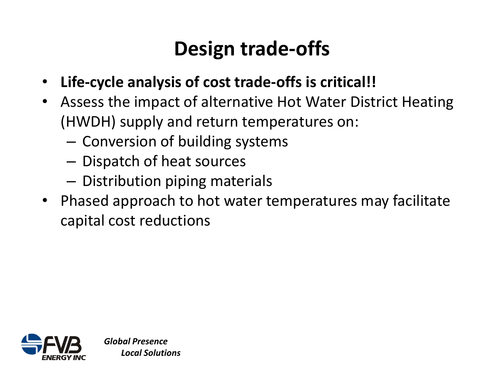# **Design trade-offs**

- **Life-cycle analysis of cost trade-offs is critical!!**
- Assess the impact of alternative Hot Water District Heating (HWDH) supply and return temperatures on:
	- Conversion of building systems
	- Dispatch of heat sources
	- Distribution piping materials
- Phased approach to hot water temperatures may facilitate capital cost reductions

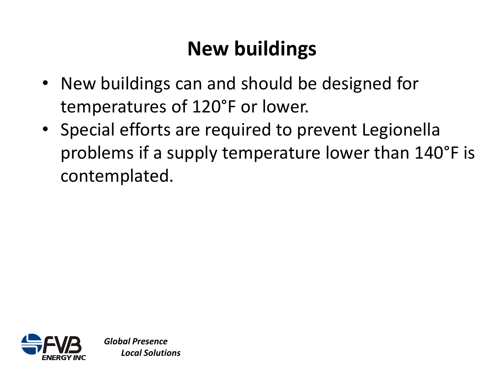# **New buildings**

- New buildings can and should be designed for temperatures of 120°F or lower.
- Special efforts are required to prevent Legionella problems if a supply temperature lower than 140°F is contemplated.

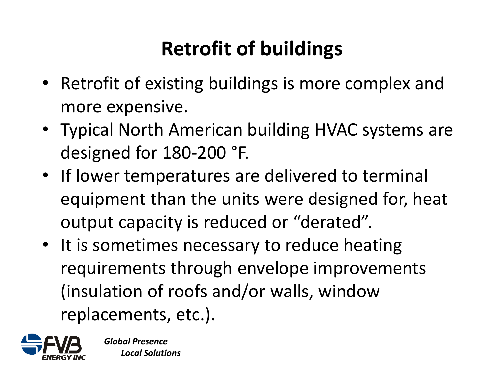# **Retrofit of buildings**

- Retrofit of existing buildings is more complex and more expensive.
- Typical North American building HVAC systems are designed for 180-200 °F.
- If lower temperatures are delivered to terminal equipment than the units were designed for, heat output capacity is reduced or "derated".
- It is sometimes necessary to reduce heating requirements through envelope improvements (insulation of roofs and/or walls, window replacements, etc.).

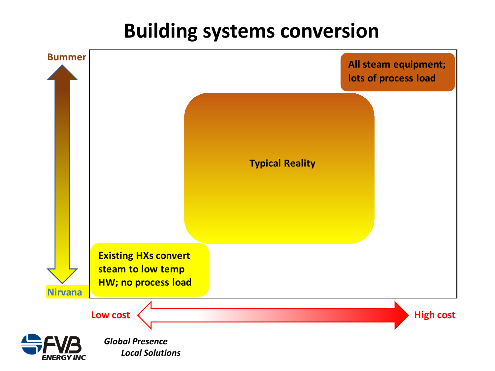#### **Building systems conversion**

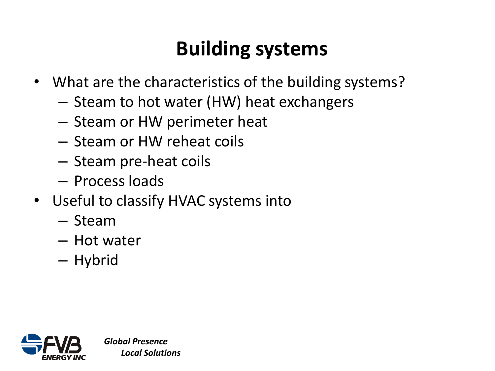# **Building systems**

- What are the characteristics of the building systems?
	- Steam to hot water (HW) heat exchangers
	- Steam or HW perimeter heat
	- Steam or HW reheat coils
	- Steam pre-heat coils
	- Process loads
- Useful to classify HVAC systems into
	- Steam
	- Hot water
	- Hybrid

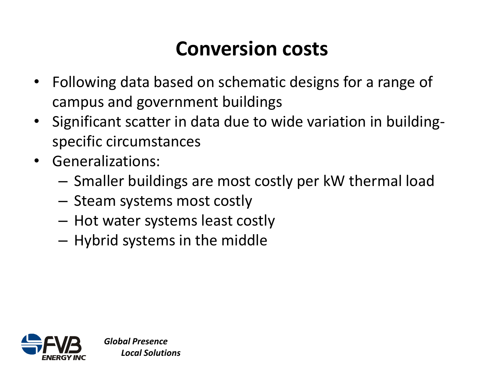# **Conversion costs**

- Following data based on schematic designs for a range of campus and government buildings
- Significant scatter in data due to wide variation in buildingspecific circumstances
- Generalizations:
	- Smaller buildings are most costly per kW thermal load
	- Steam systems most costly
	- Hot water systems least costly
	- Hybrid systems in the middle

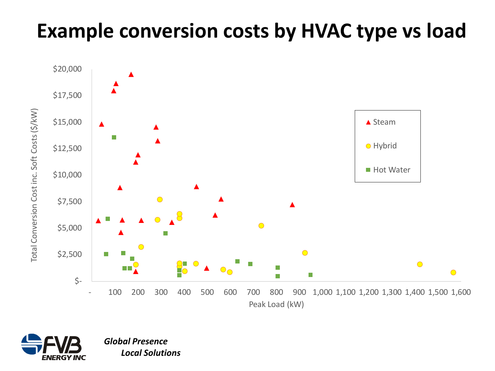#### **Example conversion costs by HVAC type vs load**



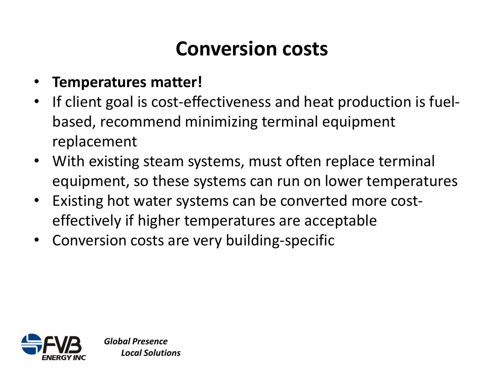# **Conversion costs**

- **Temperatures matter!**
- If client goal is cost-effectiveness and heat production is fuelbased, recommend minimizing terminal equipment replacement
- With existing steam systems, must often replace terminal equipment, so these systems can run on lower temperatures
- Existing hot water systems can be converted more costeffectively if higher temperatures are acceptable
- Conversion costs are very building-specific

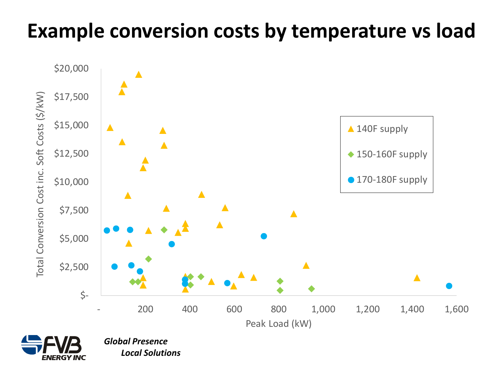#### **Example conversion costs by temperature vs load**



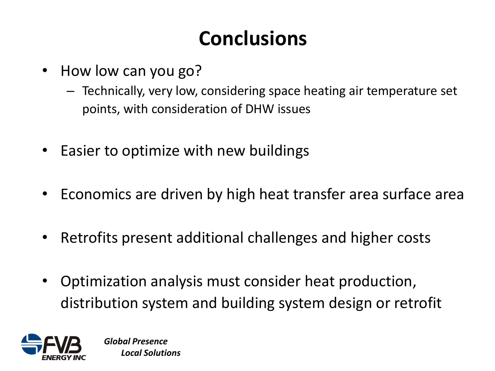# **Conclusions**

- How low can you go?
	- Technically, very low, considering space heating air temperature set points, with consideration of DHW issues
- Easier to optimize with new buildings
- Economics are driven by high heat transfer area surface area
- Retrofits present additional challenges and higher costs
- Optimization analysis must consider heat production, distribution system and building system design or retrofit

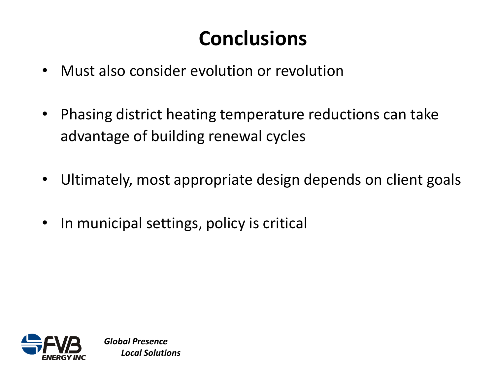# **Conclusions**

- Must also consider evolution or revolution
- Phasing district heating temperature reductions can take advantage of building renewal cycles
- Ultimately, most appropriate design depends on client goals
- In municipal settings, policy is critical